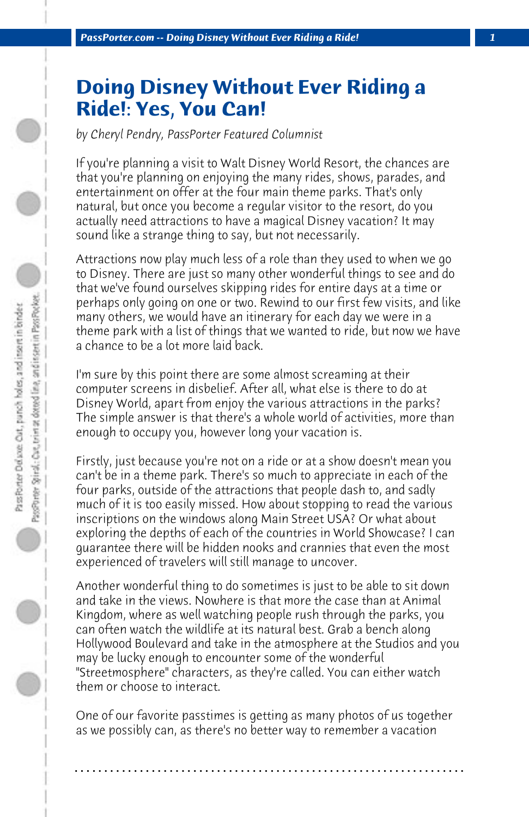## **Doing Disney Without Ever Riding a Ride!: Yes, You Can!**

*by Cheryl Pendry, PassPorter Featured Columnist*

If you're planning a visit to Walt Disney World Resort, the chances are that you're planning on enjoying the many rides, shows, parades, and entertainment on offer at the four main theme parks. That's only natural, but once you become a regular visitor to the resort, do you actually need attractions to have a magical Disney vacation? It may sound like a strange thing to say, but not necessarily.

Attractions now play much less of a role than they used to when we go to Disney. There are just so many other wonderful things to see and do that we've found ourselves skipping rides for entire days at a time or perhaps only going on one or two. Rewind to our first few visits, and like many others, we would have an itinerary for each day we were in a theme park with a list of things that we wanted to ride, but now we have a chance to be a lot more laid back.

I'm sure by this point there are some almost screaming at their computer screens in disbelief. After all, what else is there to do at Disney World, apart from enjoy the various attractions in the parks? The simple answer is that there's a whole world of activities, more than enough to occupy you, however long your vacation is.

Firstly, just because you're not on a ride or at a show doesn't mean you can't be in a theme park. There's so much to appreciate in each of the four parks, outside of the attractions that people dash to, and sadly much of it is too easily missed. How about stopping to read the various inscriptions on the windows along Main Street USA? Or what about exploring the depths of each of the countries in World Showcase? I can guarantee there will be hidden nooks and crannies that even the most experienced of travelers will still manage to uncover.

Another wonderful thing to do sometimes is just to be able to sit down and take in the views. Nowhere is that more the case than at Animal Kingdom, where as well watching people rush through the parks, you can often watch the wildlife at its natural best. Grab a bench along Hollywood Boulevard and take in the atmosphere at the Studios and you may be lucky enough to encounter some of the wonderful "Streetmosphere" characters, as they're called. You can either watch them or choose to interact.

One of our favorite passtimes is getting as many photos of us together as we possibly can, as there's no better way to remember a vacation

**. . . . . . . . . . . . . . . . . . . . . . . . . . . . . . . . . . . . . . . . . . . . . . . . . . . . . . . . . . . . . . . . . .**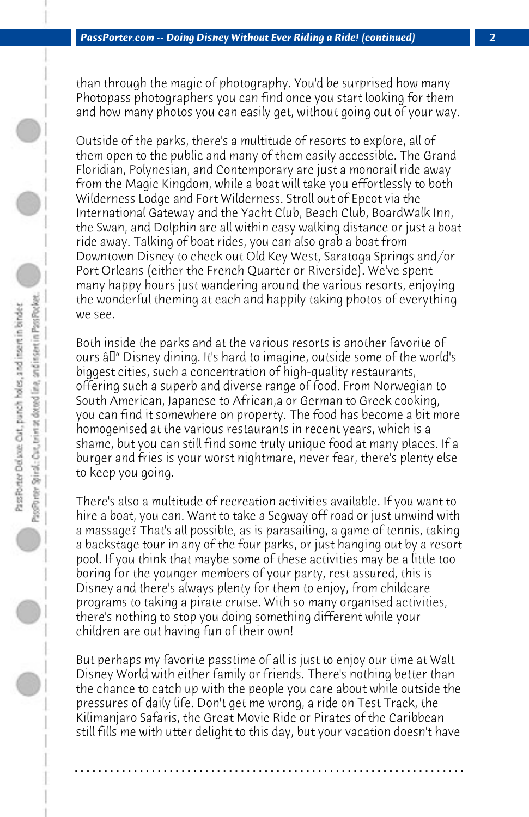than through the magic of photography. You'd be surprised how many Photopass photographers you can find once you start looking for them and how many photos you can easily get, without going out of your way.

Outside of the parks, there's a multitude of resorts to explore, all of them open to the public and many of them easily accessible. The Grand Floridian, Polynesian, and Contemporary are just a monorail ride away from the Magic Kingdom, while a boat will take you effortlessly to both Wilderness Lodge and Fort Wilderness. Stroll out of Epcot via the International Gateway and the Yacht Club, Beach Club, BoardWalk Inn, the Swan, and Dolphin are all within easy walking distance or just a boat ride away. Talking of boat rides, you can also grab a boat from Downtown Disney to check out Old Key West, Saratoga Springs and/or Port Orleans (either the French Quarter or Riverside). We've spent many happy hours just wandering around the various resorts, enjoying the wonderful theming at each and happily taking photos of everything we see.

Both inside the parks and at the various resorts is another favorite of ours  $\hat{a}$  Disney dining. It's hard to imagine, outside some of the world's biggest cities, such a concentration of high-quality restaurants, offering such a superb and diverse range of food. From Norwegian to South American, Japanese to African,a or German to Greek cooking, you can find it somewhere on property. The food has become a bit more homogenised at the various restaurants in recent years, which is a shame, but you can still find some truly unique food at many places. If a burger and fries is your worst nightmare, never fear, there's plenty else to keep you going.

There's also a multitude of recreation activities available. If you want to hire a boat, you can. Want to take a Segway off road or just unwind with a massage? That's all possible, as is parasailing, a game of tennis, taking a backstage tour in any of the four parks, or just hanging out by a resort pool. If you think that maybe some of these activities may be a little too boring for the younger members of your party, rest assured, this is Disney and there's always plenty for them to enjoy, from childcare programs to taking a pirate cruise. With so many organised activities, there's nothing to stop you doing something different while your children are out having fun of their own!

But perhaps my favorite passtime of all is just to enjoy our time at Walt Disney World with either family or friends. There's nothing better than the chance to catch up with the people you care about while outside the pressures of daily life. Don't get me wrong, a ride on Test Track, the Kilimanjaro Safaris, the Great Movie Ride or Pirates of the Caribbean still fills me with utter delight to this day, but your vacation doesn't have

**. . . . . . . . . . . . . . . . . . . . . . . . . . . . . . . . . . . . . . . . . . . . . . . . . . . . . . . . . . . . . . . . . .**